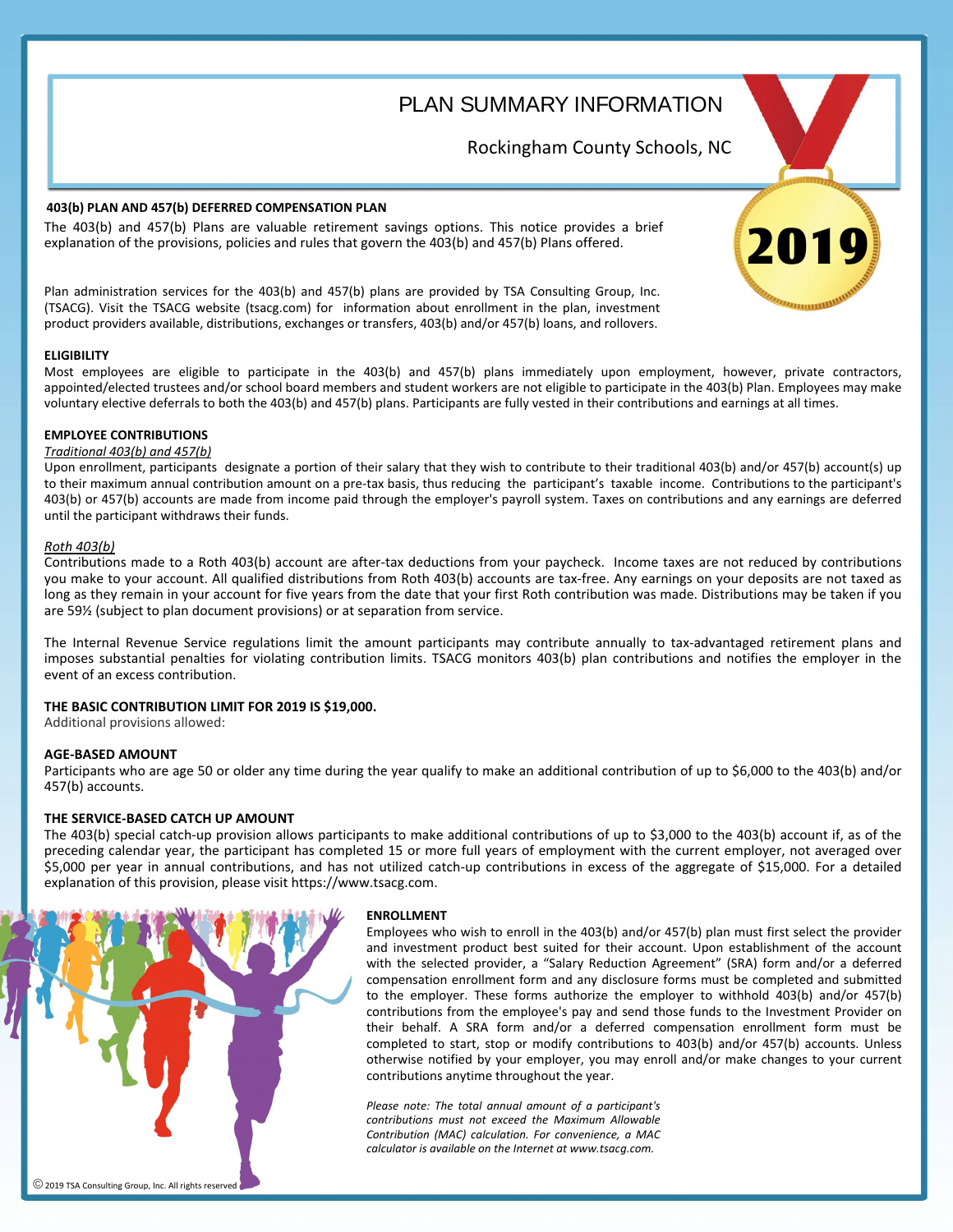PLAN SUMMARY INFORMATION

Rockingham County Schools, NC

## **403(b) PLAN AND 457(b) DEFERRED COMPENSATION PLAN**

The 403(b) and 457(b) Plans are valuable retirement savings options. This notice provides a brief explanation of the provisions, policies and rules that govern the 403(b) and 457(b) Plans offered.

Plan administration services for the 403(b) and 457(b) plans are provided by TSA Consulting Group, Inc. (TSACG). Visit the TSACG website (tsacg.com) for information about enrollment in the plan, investment product providers available, distributions, exchanges or transfers, 403(b) and/or 457(b) loans, and rollovers.

## **ELIGIBILITY**

Most employees are eligible to participate in the 403(b) and 457(b) plans immediately upon employment, however, private contractors, appointed/elected trustees and/or school board members and student workers are not eligible to participate in the 403(b) Plan. Employees may make voluntary elective deferrals to both the 403(b) and 457(b) plans. Participants are fully vested in their contributions and earnings at all times.

## **EMPLOYEE CONTRIBUTIONS**

# *Traditional 403(b) and 457(b)*

Upon enrollment, participants designate a portion of their salary that they wish to contribute to their traditional 403(b) and/or 457(b) account(s) up to their maximum annual contribution amount on a pre-tax basis, thus reducing the participant's taxable income. Contributions to the participant's 403(b) or 457(b) accounts are made from income paid through the employer's payroll system. Taxes on contributions and any earnings are deferred until the participant withdraws their funds.

## *Roth 403(b) & 457(b) Contributions Roth 403(b)*

Contributions made to a Roth 403(b) account are after-tax deductions from your paycheck. Income taxes are not reduced by contributions you make to your account. All qualified distributions from Roth 403(b) accounts are tax-free. Any earnings on your deposits are not taxed as long as they remain in your account for five years from the date that your first Roth contribution was made. Distributions may be taken if you are 59½ (subject to plan document provisions) or at separation from service.

imposes substantial penalties for violating contribution limits. TSACG monitors 403(b) plan contributions and notifies the employer in the event of an excess contribution. The employer in the employer in the event of an excess contribution. The Internal Revenue Service regulations limit the amount participants may contribute annually to tax-advantaged retirement plans and

## **THE BASIC CONTRIBUTION LIMIT FOR 2019 IS \$19,000.**

Additional provisions allowed:

## **AGE-BASED AMOUNT**

Participants who are age 50 or older any time during the year qualify to make an additional contribution of up to \$6,000 to the 403(b) and/or Participants who are age 50 or older any time during the year qualify to make an additional contribution of up to \$6,000 to the 403(b) and/or 457(b) 457(b) accounts.

### **THE SERVICE-BASED CATCH UP AMOUNT**

The 403(b) special catch-up provision allows participants to make additional contributions of up to \$3,000 to the 403(b) account if, as of the preceding calendar year, the participant has completed 15 or more full years of employment with the current employer, not averaged over \$5,000 per year in annual contributions, and has not utilized catch-up contributions in excess of the aggregate of \$15,000. For a detailed explanation of this provision, please visit https://www.tsacg.com.



#### **ENROLLMENT**

Employees who wish to enroll in the 403(b) and/or 457(b) plan must first select the provider and investment product best suited for their account. Upon establishment of the account with the selected provider, a "Salary Reduction Agreement" (SRA) form and/or a deferred compensation enrollment form and any disclosure forms must be completed and submitted to the employer. These forms authorize the employer to withhold 403(b) and/or 457(b) contributions from the employee's pay and send those funds to the Investment Provider on their behalf. A SRA form and/or a deferred compensation enrollment form must be completed to start, stop or modify contributions to 403(b) and/or 457(b) accounts. Unless otherwise notified by your employer, you may enroll and/or make changes to your current contributions anytime throughout the year.

*Please note: The total annual amount of a participant's contributions must not exceed the Maximum Allowable Contribution (MAC) calculation. For convenience, a MAC calculator is available on the Internet at www.tsacg.com.*